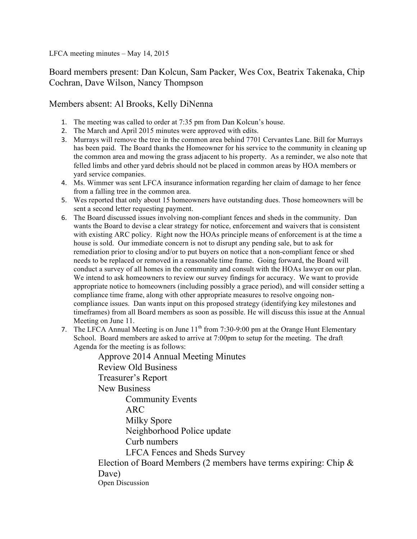LFCA meeting minutes – May 14, 2015

Board members present: Dan Kolcun, Sam Packer, Wes Cox, Beatrix Takenaka, Chip Cochran, Dave Wilson, Nancy Thompson

## Members absent: Al Brooks, Kelly DiNenna

- 1. The meeting was called to order at 7:35 pm from Dan Kolcun's house.
- 2. The March and April 2015 minutes were approved with edits.
- 3. Murrays will remove the tree in the common area behind 7701 Cervantes Lane. Bill for Murrays has been paid. The Board thanks the Homeowner for his service to the community in cleaning up the common area and mowing the grass adjacent to his property. As a reminder, we also note that felled limbs and other yard debris should not be placed in common areas by HOA members or yard service companies.
- 4. Ms. Wimmer was sent LFCA insurance information regarding her claim of damage to her fence from a falling tree in the common area.
- 5. Wes reported that only about 15 homeowners have outstanding dues. Those homeowners will be sent a second letter requesting payment.
- 6. The Board discussed issues involving non-compliant fences and sheds in the community. Dan wants the Board to devise a clear strategy for notice, enforcement and waivers that is consistent with existing ARC policy. Right now the HOAs principle means of enforcement is at the time a house is sold. Our immediate concern is not to disrupt any pending sale, but to ask for remediation prior to closing and/or to put buyers on notice that a non-compliant fence or shed needs to be replaced or removed in a reasonable time frame. Going forward, the Board will conduct a survey of all homes in the community and consult with the HOAs lawyer on our plan. We intend to ask homeowners to review our survey findings for accuracy. We want to provide appropriate notice to homeowners (including possibly a grace period), and will consider setting a compliance time frame, along with other appropriate measures to resolve ongoing noncompliance issues. Dan wants input on this proposed strategy (identifying key milestones and timeframes) from all Board members as soon as possible. He will discuss this issue at the Annual Meeting on June 11.
- 7. The LFCA Annual Meeting is on June  $11<sup>th</sup>$  from 7:30-9:00 pm at the Orange Hunt Elementary School. Board members are asked to arrive at 7:00pm to setup for the meeting. The draft Agenda for the meeting is as follows:

Approve 2014 Annual Meeting Minutes Review Old Business Treasurer's Report New Business Community Events ARC Milky Spore Neighborhood Police update Curb numbers LFCA Fences and Sheds Survey Election of Board Members (2 members have terms expiring: Chip & Dave) Open Discussion